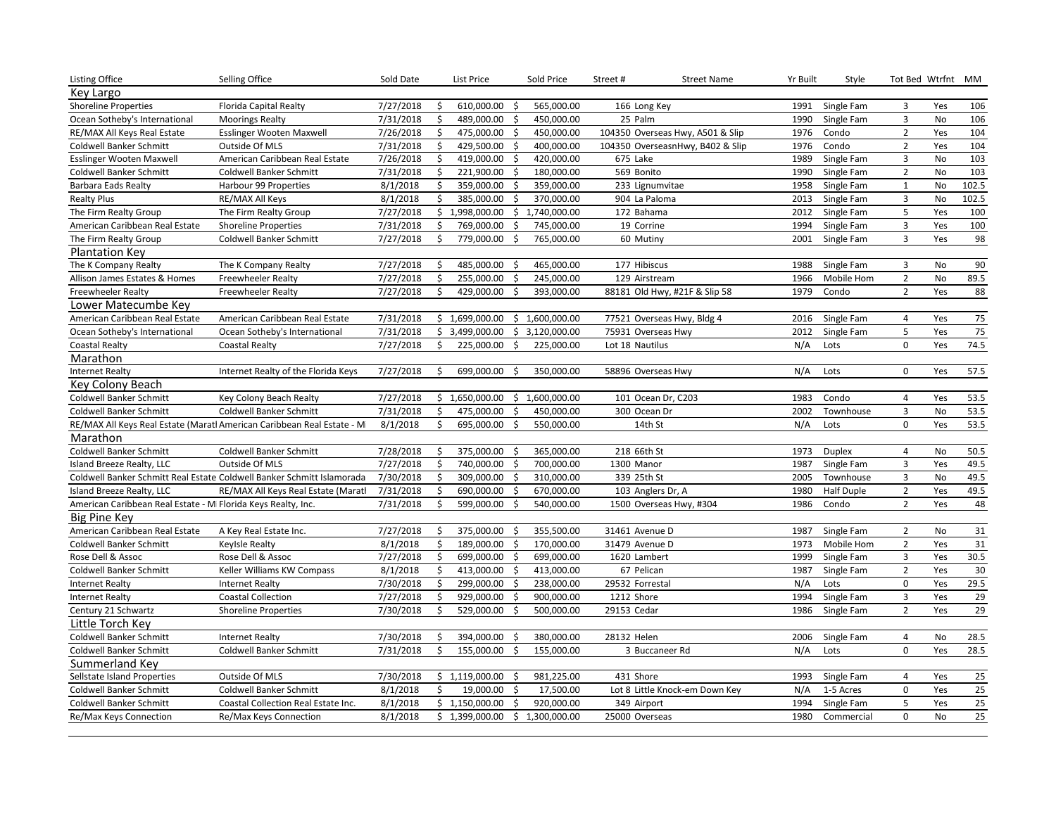| <b>Listing Office</b>                                         | Selling Office                                                          | Sold Date |    | List Price                       |      | Sold Price | Street#         | <b>Street Name</b>               | Yr Built | Style             | Tot Bed Wtrfnt          |           | МM              |
|---------------------------------------------------------------|-------------------------------------------------------------------------|-----------|----|----------------------------------|------|------------|-----------------|----------------------------------|----------|-------------------|-------------------------|-----------|-----------------|
| Key Largo                                                     |                                                                         |           |    |                                  |      |            |                 |                                  |          |                   |                         |           |                 |
| <b>Shoreline Properties</b>                                   | <b>Florida Capital Realty</b>                                           | 7/27/2018 | \$ | 610,000.00                       | - \$ | 565,000.00 |                 | 166 Long Key                     | 1991     | Single Fam        | 3                       | Yes       | 106             |
| Ocean Sotheby's International                                 | <b>Moorings Realty</b>                                                  | 7/31/2018 | \$ | 489,000.00                       | -\$  | 450,000.00 | 25 Palm         |                                  | 1990     | Single Fam        | $\mathbf{3}$            | No        | 106             |
| RE/MAX All Keys Real Estate                                   | Esslinger Wooten Maxwell                                                | 7/26/2018 | \$ | 475,000.00                       | -\$  | 450,000.00 |                 | 104350 Overseas Hwy, A501 & Slip | 1976     | Condo             | $\mathbf 2$             | Yes       | 104             |
| <b>Coldwell Banker Schmitt</b>                                | Outside Of MLS                                                          | 7/31/2018 | Ŝ. | 429,500.00 \$                    |      | 400,000.00 |                 | 104350 OverseasnHwy, B402 & Slip | 1976     | Condo             | $\mathbf 2$             | Yes       | 104             |
| <b>Esslinger Wooten Maxwell</b>                               | American Caribbean Real Estate                                          | 7/26/2018 | \$ | 419,000.00                       | \$   | 420,000.00 | 675 Lake        |                                  | 1989     | Single Fam        | $\overline{3}$          | No        | 103             |
| <b>Coldwell Banker Schmitt</b>                                | Coldwell Banker Schmitt                                                 | 7/31/2018 | \$ | 221,900.00 \$                    |      | 180,000.00 |                 | 569 Bonito                       | 1990     | Single Fam        | $\mathbf 2$             | No        | 103             |
| Barbara Eads Realty                                           | Harbour 99 Properties                                                   | 8/1/2018  | \$ | 359,000.00                       | -\$  | 359,000.00 |                 | 233 Lignumvitae                  | 1958     | Single Fam        | $\mathbf{1}$            | No        | 102.5           |
| <b>Realty Plus</b>                                            | <b>RE/MAX All Keys</b>                                                  | 8/1/2018  | Ŝ. | 385,000.00 \$                    |      | 370.000.00 |                 | 904 La Paloma                    | 2013     | Single Fam        | $\overline{3}$          | No        | 102.5           |
| The Firm Realty Group                                         | The Firm Realty Group                                                   | 7/27/2018 |    | $$1,998,000.00$$ $$1,740,000.00$ |      |            |                 | 172 Bahama                       | 2012     | Single Fam        | 5                       | Yes       | 100             |
| American Caribbean Real Estate                                | <b>Shoreline Properties</b>                                             | 7/31/2018 | Ś. | 769,000.00                       | - \$ | 745,000.00 |                 | 19 Corrine                       | 1994     | Single Fam        | $\overline{3}$          | Yes       | 100             |
| The Firm Realty Group                                         | Coldwell Banker Schmitt                                                 | 7/27/2018 | Ŝ. | 779,000.00                       | -\$  | 765,000.00 |                 | 60 Mutiny                        | 2001     | Single Fam        | $\overline{3}$          | Yes       | 98              |
| <b>Plantation Kev</b>                                         |                                                                         |           |    |                                  |      |            |                 |                                  |          |                   |                         |           |                 |
| The K Company Realty                                          | The K Company Realty                                                    | 7/27/2018 | \$ | 485,000.00                       | - \$ | 465,000.00 |                 | 177 Hibiscus                     | 1988     | Single Fam        | $\overline{3}$          | No        | 90              |
| Allison James Estates & Homes                                 | <b>Freewheeler Realty</b>                                               | 7/27/2018 | \$ | 255,000.00 \$                    |      | 245,000.00 |                 | 129 Airstream                    | 1966     | Mobile Hom        | $\overline{2}$          | No        | 89.5            |
| Freewheeler Realty                                            | <b>Freewheeler Realty</b>                                               | 7/27/2018 | \$ | 429,000.00                       | - \$ | 393,000.00 |                 | 88181 Old Hwy, #21F & Slip 58    | 1979     | Condo             | $\overline{2}$          | Yes       | 88              |
| Lower Matecumbe Key                                           |                                                                         |           |    |                                  |      |            |                 |                                  |          |                   |                         |           |                 |
| American Caribbean Real Estate                                | American Caribbean Real Estate                                          | 7/31/2018 |    | $$1,699,000.00$$ $$1,600,000.00$ |      |            |                 | 77521 Overseas Hwy, Bldg 4       | 2016     | Single Fam        | 4                       | Yes       | 75              |
| Ocean Sotheby's International                                 | Ocean Sotheby's International                                           | 7/31/2018 |    | $$3,499,000.00$$ $$3,120,000.00$ |      |            |                 | 75931 Overseas Hwy               | 2012     | Single Fam        | 5                       | Yes       | 75              |
| <b>Coastal Realty</b>                                         | Coastal Realty                                                          | 7/27/2018 | \$ | 225,000.00                       | - \$ | 225,000.00 | Lot 18 Nautilus |                                  | N/A      | Lots              | 0                       | Yes       | 74.5            |
| Marathon                                                      |                                                                         |           |    |                                  |      |            |                 |                                  |          |                   |                         |           |                 |
| <b>Internet Realty</b>                                        | Internet Realty of the Florida Keys                                     | 7/27/2018 | Ŝ. | 699,000.00 \$                    |      | 350,000.00 |                 | 58896 Overseas Hwy               | N/A      | Lots              | 0                       | Yes       | 57.5            |
| Key Colony Beach                                              |                                                                         |           |    |                                  |      |            |                 |                                  |          |                   |                         |           |                 |
| Coldwell Banker Schmitt                                       | Key Colony Beach Realty                                                 | 7/27/2018 |    | $$1,650,000.00$$ $$1,600,000.00$ |      |            |                 | 101 Ocean Dr, C203               | 1983     | Condo             | $\overline{4}$          | Yes       | 53.5            |
| <b>Coldwell Banker Schmitt</b>                                | Coldwell Banker Schmitt                                                 | 7/31/2018 | \$ | 475,000.00                       | \$   | 450,000.00 |                 | 300 Ocean Dr                     | 2002     | Townhouse         | 3                       | <b>No</b> | 53.5            |
|                                                               | RE/MAX All Keys Real Estate (Maratl American Caribbean Real Estate - Mi | 8/1/2018  | \$ | 695,000.00 \$                    |      | 550,000.00 |                 | 14th St                          | N/A      | Lots              | 0                       | Yes       | 53.5            |
| Marathon                                                      |                                                                         |           |    |                                  |      |            |                 |                                  |          |                   |                         |           |                 |
| Coldwell Banker Schmitt                                       | Coldwell Banker Schmitt                                                 | 7/28/2018 | \$ | 375,000.00 \$                    |      | 365,000.00 |                 | 218 66th St                      | 1973     | Duplex            | $\overline{4}$          | <b>No</b> | 50.5            |
| Island Breeze Realty, LLC                                     | Outside Of MLS                                                          | 7/27/2018 | \$ | 740,000.00                       | - \$ | 700,000.00 | 1300 Manor      |                                  | 1987     | Single Fam        | $\overline{3}$          | Yes       | 49.5            |
|                                                               | Coldwell Banker Schmitt Real Estate Coldwell Banker Schmitt Islamorada  | 7/30/2018 | \$ | 309,000.00 \$                    |      | 310,000.00 |                 | 339 25th St                      | 2005     | Townhouse         | $\overline{3}$          | No        | 49.5            |
| Island Breeze Realty, LLC                                     | RE/MAX All Keys Real Estate (Maratl                                     | 7/31/2018 | \$ | 690,000.00                       | S.   | 670,000.00 |                 | 103 Anglers Dr, A                | 1980     | <b>Half Duple</b> | $\overline{2}$          | Yes       | 49.5            |
| American Caribbean Real Estate - Mi Florida Keys Realty, Inc. |                                                                         | 7/31/2018 | \$ | 599,000.00 \$                    |      | 540,000.00 |                 | 1500 Overseas Hwy, #304          | 1986     | Condo             | $\overline{2}$          | Yes       | 48              |
| Big Pine Key                                                  |                                                                         |           |    |                                  |      |            |                 |                                  |          |                   |                         |           |                 |
| American Caribbean Real Estate                                | A Key Real Estate Inc.                                                  | 7/27/2018 | \$ | 375,000.00                       | - \$ | 355,500.00 |                 | 31461 Avenue D                   | 1987     | Single Fam        | $\overline{2}$          | No        | 31              |
| Coldwell Banker Schmitt                                       | <b>Keylsle Realty</b>                                                   | 8/1/2018  | \$ | 189,000.00 \$                    |      | 170,000.00 |                 | 31479 Avenue D                   | 1973     | Mobile Hom        | $\overline{2}$          | Yes       | 31              |
| Rose Dell & Assoc                                             | Rose Dell & Assoc                                                       | 7/27/2018 | \$ | 699,000.00                       | -\$  | 699,000.00 |                 | 1620 Lambert                     | 1999     | Single Fam        | $\overline{\mathbf{3}}$ | Yes       | 30.5            |
| <b>Coldwell Banker Schmitt</b>                                | Keller Williams KW Compass                                              | 8/1/2018  | \$ | 413,000.00                       | - \$ | 413,000.00 |                 | 67 Pelican                       | 1987     | Single Fam        | $\overline{2}$          | Yes       | 30              |
| <b>Internet Realty</b>                                        | <b>Internet Realty</b>                                                  | 7/30/2018 | \$ | 299,000.00                       | - \$ | 238,000.00 | 29532 Forrestal |                                  | N/A      | Lots              | $\mathsf{O}\xspace$     | Yes       | 29.5            |
| <b>Internet Realty</b>                                        | <b>Coastal Collection</b>                                               | 7/27/2018 | \$ | 929,000.00                       | -\$  | 900,000.00 | 1212 Shore      |                                  | 1994     | Single Fam        | $\overline{\mathbf{3}}$ | Yes       | 29              |
| Century 21 Schwartz                                           | <b>Shoreline Properties</b>                                             | 7/30/2018 | Ŝ. | 529,000.00                       | - Ś  | 500,000.00 | 29153 Cedar     |                                  | 1986     | Single Fam        | $\overline{2}$          | Yes       | 29              |
| Little Torch Key                                              |                                                                         |           |    |                                  |      |            |                 |                                  |          |                   |                         |           |                 |
| Coldwell Banker Schmitt                                       | <b>Internet Realty</b>                                                  | 7/30/2018 | \$ | 394,000.00 \$                    |      | 380,000.00 | 28132 Helen     |                                  | 2006     | Single Fam        | 4                       | No        | 28.5            |
| <b>Coldwell Banker Schmitt</b>                                | Coldwell Banker Schmitt                                                 | 7/31/2018 | Ŝ. | 155,000.00                       | -\$  | 155,000.00 |                 | 3 Buccaneer Rd                   | N/A      | Lots              | $\mathbf 0$             | Yes       | 28.5            |
| Summerland Key                                                |                                                                         |           |    |                                  |      |            |                 |                                  |          |                   |                         |           |                 |
| Sellstate Island Properties                                   | Outside Of MLS                                                          | 7/30/2018 |    | \$1,119,000.00\$                 |      | 981,225.00 | 431 Shore       |                                  | 1993     | Single Fam        | 4                       | Yes       | 25              |
| <b>Coldwell Banker Schmitt</b>                                | Coldwell Banker Schmitt                                                 | 8/1/2018  | \$ | 19,000.00                        | -\$  | 17,500.00  |                 | Lot 8 Little Knock-em Down Key   | N/A      | 1-5 Acres         | 0                       | Yes       | 25              |
| <b>Coldwell Banker Schmitt</b>                                | Coastal Collection Real Estate Inc.                                     | 8/1/2018  |    | \$1,150,000.00                   | \$   | 920,000.00 |                 | 349 Airport                      | 1994     | Single Fam        | 5                       | Yes       | 25              |
| Re/Max Keys Connection                                        | Re/Max Keys Connection                                                  | 8/1/2018  |    | $$1,399,000.00$$ $$1,300,000.00$ |      |            |                 | 25000 Overseas                   | 1980     | Commercial        | 0                       | No        | $\overline{25}$ |
|                                                               |                                                                         |           |    |                                  |      |            |                 |                                  |          |                   |                         |           |                 |